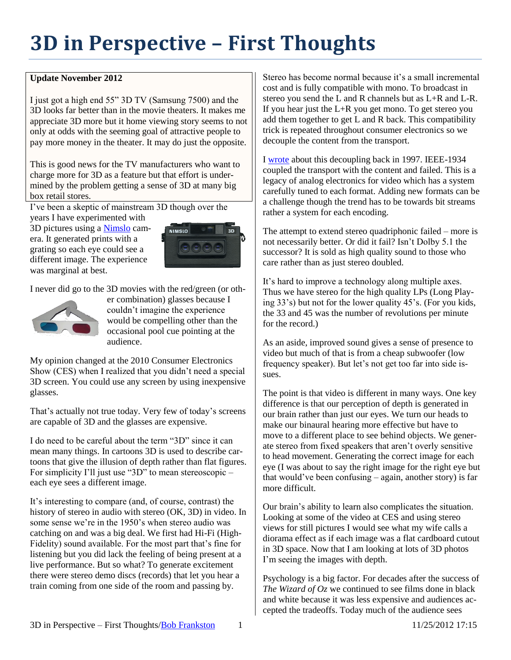## **3D in Perspective – First Thoughts**

## **Update November 2012**

I just got a high end 55" 3D TV (Samsung 7500) and the 3D looks far better than in the movie theaters. It makes me appreciate 3D more but it home viewing story seems to not only at odds with the seeming goal of attractive people to pay more money in the theater. It may do just the opposite.

This is good news for the TV manufacturers who want to charge more for 3D as a feature but that effort is undermined by the problem getting a sense of 3D at many big box retail stores.

I've been a skeptic of mainstream 3D though over the years I have experimented with

3D pictures using a [Nimslo](http://en.wikipedia.org/wiki/Nimslo) camera. It generated prints with a grating so each eye could see a different image. The experience was marginal at best.



I never did go to the 3D movies with the red/green (or oth-



er combination) glasses because I couldn't imagine the experience would be compelling other than the occasional pool cue pointing at the audience.

My opinion changed at the 2010 Consumer Electronics Show (CES) when I realized that you didn't need a special 3D screen. You could use any screen by using inexpensive glasses.

That's actually not true today. Very few of today's screens are capable of 3D and the glasses are expensive.

I do need to be careful about the term "3D" since it can mean many things. In cartoons 3D is used to describe cartoons that give the illusion of depth rather than flat figures. For simplicity I'll just use "3D" to mean stereoscopic – each eye sees a different image.

It's interesting to compare (and, of course, contrast) the history of stereo in audio with stereo (OK, 3D) in video. In some sense we're in the 1950's when stereo audio was catching on and was a big deal. We first had Hi-Fi (High-Fidelity) sound available. For the most part that's fine for listening but you did lack the feeling of being present at a live performance. But so what? To generate excitement there were stereo demo discs (records) that let you hear a train coming from one side of the room and passing by.

Stereo has become normal because it's a small incremental cost and is fully compatible with mono. To broadcast in stereo you send the L and R channels but as L+R and L-R. If you hear just the L+R you get mono. To get stereo you add them together to get L and R back. This compatibility trick is repeated throughout consumer electronics so we decouple the content from the transport.

I [wrote](http://rmf.vc/?n=BL) about this decoupling back in 1997. IEEE-1934 coupled the transport with the content and failed. This is a legacy of analog electronics for video which has a system carefully tuned to each format. Adding new formats can be a challenge though the trend has to be towards bit streams rather a system for each encoding.

The attempt to extend stereo quadriphonic failed – more is not necessarily better. Or did it fail? Isn't Dolby 5.1 the successor? It is sold as high quality sound to those who care rather than as just stereo doubled.

It's hard to improve a technology along multiple axes. Thus we have stereo for the high quality LPs (Long Playing 33's) but not for the lower quality 45's. (For you kids, the 33 and 45 was the number of revolutions per minute for the record.)

As an aside, improved sound gives a sense of presence to video but much of that is from a cheap subwoofer (low frequency speaker). But let's not get too far into side issues.

The point is that video is different in many ways. One key difference is that our perception of depth is generated in our brain rather than just our eyes. We turn our heads to make our binaural hearing more effective but have to move to a different place to see behind objects. We generate stereo from fixed speakers that aren't overly sensitive to head movement. Generating the correct image for each eye (I was about to say the right image for the right eye but that would've been confusing – again, another story) is far more difficult.

Our brain's ability to learn also complicates the situation. Looking at some of the video at CES and using stereo views for still pictures I would see what my wife calls a diorama effect as if each image was a flat cardboard cutout in 3D space. Now that I am looking at lots of 3D photos I'm seeing the images with depth.

Psychology is a big factor. For decades after the success of *The Wizard of Oz* we continued to see films done in black and white because it was less expensive and audiences accepted the tradeoffs. Today much of the audience sees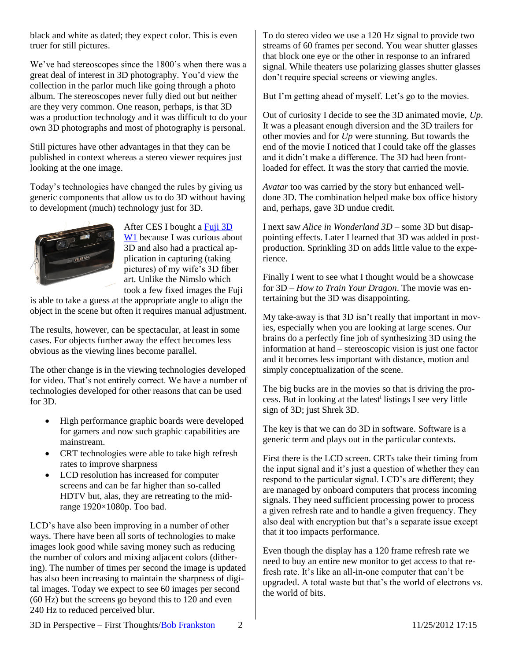black and white as dated; they expect color. This is even truer for still pictures.

We've had stereoscopes since the 1800's when there was a great deal of interest in 3D photography. You'd view the collection in the parlor much like going through a photo album. The stereoscopes never fully died out but neither are they very common. One reason, perhaps, is that 3D was a production technology and it was difficult to do your own 3D photographs and most of photography is personal.

Still pictures have other advantages in that they can be published in context whereas a stereo viewer requires just looking at the one image.

Today's technologies have changed the rules by giving us generic components that allow us to do 3D without having to development (much) technology just for 3D.



After CES I bought [a Fuji 3D](http://www.fujifilm.com/products/3d/camera/finepix_real3dw1/)  W<sub>1</sub> because I was curious about 3D and also had a practical application in capturing (taking pictures) of my wife's 3D fiber art. Unlike the Nimslo which took a few fixed images the Fuji

is able to take a guess at the appropriate angle to align the object in the scene but often it requires manual adjustment.

The results, however, can be spectacular, at least in some cases. For objects further away the effect becomes less obvious as the viewing lines become parallel.

The other change is in the viewing technologies developed for video. That's not entirely correct. We have a number of technologies developed for other reasons that can be used for 3D.

- High performance graphic boards were developed for gamers and now such graphic capabilities are mainstream.
- CRT technologies were able to take high refresh rates to improve sharpness
- LCD resolution has increased for computer screens and can be far higher than so-called HDTV but, alas, they are retreating to the midrange 1920×1080p. Too bad.

LCD's have also been improving in a number of other ways. There have been all sorts of technologies to make images look good while saving money such as reducing the number of colors and mixing adjacent colors (dithering). The number of times per second the image is updated has also been increasing to maintain the sharpness of digital images. Today we expect to see 60 images per second (60 Hz) but the screens go beyond this to 120 and even 240 Hz to reduced perceived blur.

To do stereo video we use a 120 Hz signal to provide two streams of 60 frames per second. You wear shutter glasses that block one eye or the other in response to an infrared signal. While theaters use polarizing glasses shutter glasses don't require special screens or viewing angles.

But I'm getting ahead of myself. Let's go to the movies.

Out of curiosity I decide to see the 3D animated movie, *Up*. It was a pleasant enough diversion and the 3D trailers for other movies and for *Up* were stunning. But towards the end of the movie I noticed that I could take off the glasses and it didn't make a difference. The 3D had been frontloaded for effect. It was the story that carried the movie.

*Avatar* too was carried by the story but enhanced welldone 3D. The combination helped make box office history and, perhaps, gave 3D undue credit.

I next saw *Alice in Wonderland 3D –* some 3D but disappointing effects. Later I learned that 3D was added in postproduction. Sprinkling 3D on adds little value to the experience.

Finally I went to see what I thought would be a showcase for 3D – *How to Train Your Dragon*. The movie was entertaining but the 3D was disappointing.

My take-away is that 3D isn't really that important in movies, especially when you are looking at large scenes. Our brains do a perfectly fine job of synthesizing 3D using the information at hand – stereoscopic vision is just one factor and it becomes less important with distance, motion and simply conceptualization of the scene.

The big bucks are in the movies so that is driving the process. But in looking at the latest<sup>i</sup> listings I see very little sign of 3D; just Shrek 3D.

The key is that we can do 3D in software. Software is a generic term and plays out in the particular contexts.

First there is the LCD screen. CRTs take their timing from the input signal and it's just a question of whether they can respond to the particular signal. LCD's are different; they are managed by onboard computers that process incoming signals. They need sufficient processing power to process a given refresh rate and to handle a given frequency. They also deal with encryption but that's a separate issue except that it too impacts performance.

Even though the display has a 120 frame refresh rate we need to buy an entire new monitor to get access to that refresh rate. It's like an all-in-one computer that can't be upgraded. A total waste but that's the world of electrons vs. the world of bits.

3D in Perspective – First Thoughts/Bob Frankston 2 11/25/2012 17:15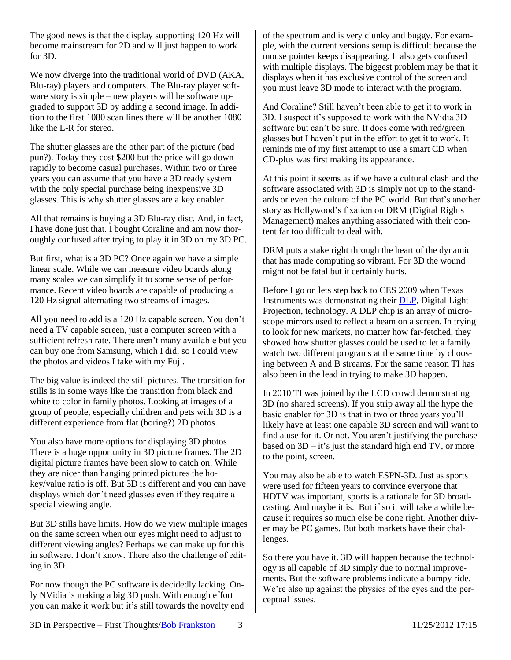The good news is that the display supporting 120 Hz will become mainstream for 2D and will just happen to work for 3D.

We now diverge into the traditional world of DVD (AKA, Blu-ray) players and computers. The Blu-ray player software story is simple – new players will be software upgraded to support 3D by adding a second image. In addition to the first 1080 scan lines there will be another 1080 like the L-R for stereo.

The shutter glasses are the other part of the picture (bad pun?). Today they cost \$200 but the price will go down rapidly to become casual purchases. Within two or three years you can assume that you have a 3D ready system with the only special purchase being inexpensive 3D glasses. This is why shutter glasses are a key enabler.

All that remains is buying a 3D Blu-ray disc. And, in fact, I have done just that. I bought Coraline and am now thoroughly confused after trying to play it in 3D on my 3D PC.

But first, what is a 3D PC? Once again we have a simple linear scale. While we can measure video boards along many scales we can simplify it to some sense of performance. Recent video boards are capable of producing a 120 Hz signal alternating two streams of images.

All you need to add is a 120 Hz capable screen. You don't need a TV capable screen, just a computer screen with a sufficient refresh rate. There aren't many available but you can buy one from Samsung, which I did, so I could view the photos and videos I take with my Fuji.

The big value is indeed the still pictures. The transition for stills is in some ways like the transition from black and white to color in family photos. Looking at images of a group of people, especially children and pets with 3D is a different experience from flat (boring?) 2D photos.

You also have more options for displaying 3D photos. There is a huge opportunity in 3D picture frames. The 2D digital picture frames have been slow to catch on. While they are nicer than hanging printed pictures the hokey/value ratio is off. But 3D is different and you can have displays which don't need glasses even if they require a special viewing angle.

But 3D stills have limits. How do we view multiple images on the same screen when our eyes might need to adjust to different viewing angles? Perhaps we can make up for this in software. I don't know. There also the challenge of editing in 3D.

For now though the PC software is decidedly lacking. Only NVidia is making a big 3D push. With enough effort you can make it work but it's still towards the novelty end of the spectrum and is very clunky and buggy. For example, with the current versions setup is difficult because the mouse pointer keeps disappearing. It also gets confused with multiple displays. The biggest problem may be that it displays when it has exclusive control of the screen and you must leave 3D mode to interact with the program.

And Coraline? Still haven't been able to get it to work in 3D. I suspect it's supposed to work with the NVidia 3D software but can't be sure. It does come with red/green glasses but I haven't put in the effort to get it to work. It reminds me of my first attempt to use a smart CD when CD-plus was first making its appearance.

At this point it seems as if we have a cultural clash and the software associated with 3D is simply not up to the standards or even the culture of the PC world. But that's another story as Hollywood's fixation on DRM (Digital Rights Management) makes anything associated with their content far too difficult to deal with.

DRM puts a stake right through the heart of the dynamic that has made computing so vibrant. For 3D the wound might not be fatal but it certainly hurts.

Before I go on lets step back to CES 2009 when Texas Instruments was demonstrating their [DLP,](http://www.dlp.com/) Digital Light Projection, technology. A DLP chip is an array of microscope mirrors used to reflect a beam on a screen. In trying to look for new markets, no matter how far-fetched, they showed how shutter glasses could be used to let a family watch two different programs at the same time by choosing between A and B streams. For the same reason TI has also been in the lead in trying to make 3D happen.

In 2010 TI was joined by the LCD crowd demonstrating 3D (no shared screens). If you strip away all the hype the basic enabler for 3D is that in two or three years you'll likely have at least one capable 3D screen and will want to find a use for it. Or not. You aren't justifying the purchase based on  $3D - it's$  just the standard high end TV, or more to the point, screen.

You may also be able to watch ESPN-3D. Just as sports were used for fifteen years to convince everyone that HDTV was important, sports is a rationale for 3D broadcasting. And maybe it is. But if so it will take a while because it requires so much else be done right. Another driver may be PC games. But both markets have their challenges.

So there you have it. 3D will happen because the technology is all capable of 3D simply due to normal improvements. But the software problems indicate a bumpy ride. We're also up against the physics of the eyes and the perceptual issues.